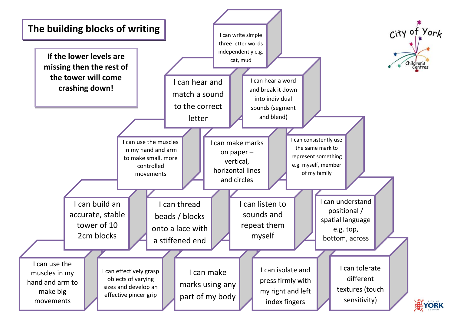